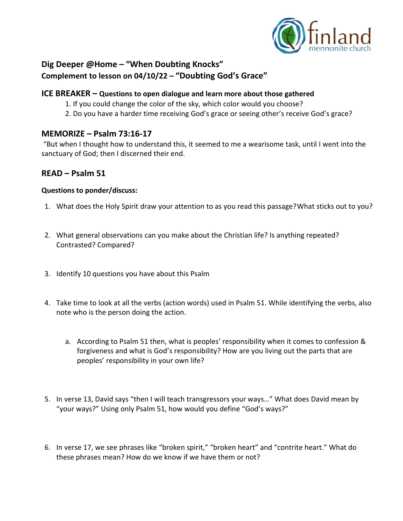

## **Dig Deeper @Home – "When Doubting Knocks" Complement to lesson on 04/10/22 – "Doubting God's Grace"**

### **ICE BREAKER – Questions to open dialogue and learn more about those gathered**

- 1. If you could change the color of the sky, which color would you choose?
- 2. Do you have a harder time receiving God's grace or seeing other's receive God's grace?

### **MEMORIZE – Psalm 73:16-17**

"But when I thought how to understand this, it seemed to me a wearisome task, until I went into the sanctuary of God; then I discerned their end.

## **READ – Psalm 51**

#### **Questions to ponder/discuss:**

- 1. What does the Holy Spirit draw your attention to as you read this passage?What sticks out to you?
- 2. What general observations can you make about the Christian life? Is anything repeated? Contrasted? Compared?
- 3. Identify 10 questions you have about this Psalm
- 4. Take time to look at all the verbs (action words) used in Psalm 51. While identifying the verbs, also note who is the person doing the action.
	- a. According to Psalm 51 then, what is peoples' responsibility when it comes to confession & forgiveness and what is God's responsibility? How are you living out the parts that are peoples' responsibility in your own life?
- 5. In verse 13, David says "then I will teach transgressors your ways…" What does David mean by "your ways?" Using only Psalm 51, how would you define "God's ways?"
- 6. In verse 17, we see phrases like "broken spirit," "broken heart" and "contrite heart." What do these phrases mean? How do we know if we have them or not?